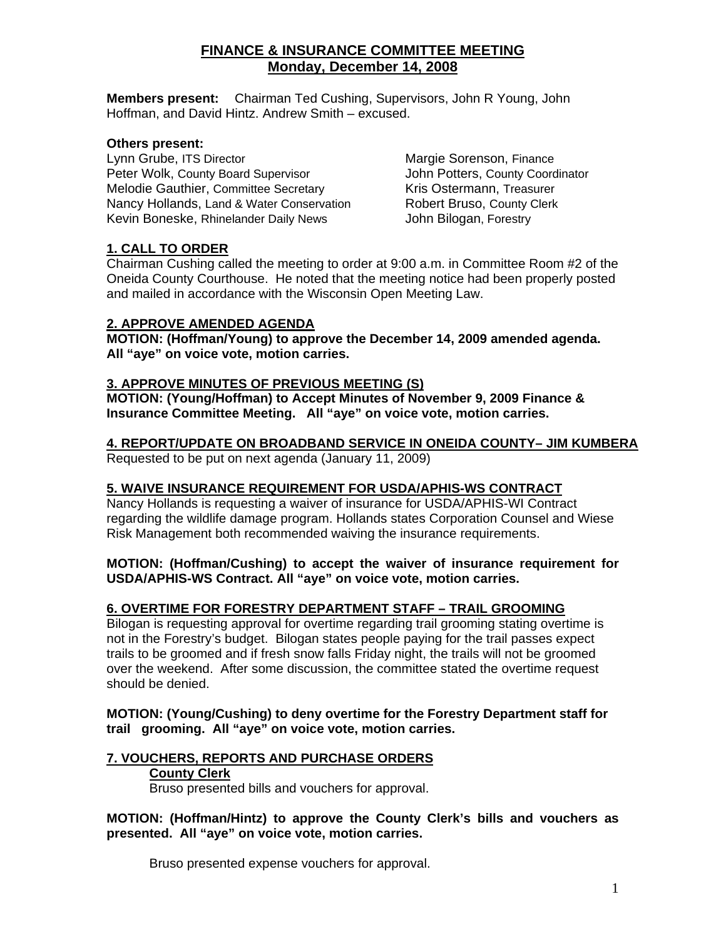# **FINANCE & INSURANCE COMMITTEE MEETING Monday, December 14, 2008**

**Members present:** Chairman Ted Cushing, Supervisors, John R Young, John Hoffman, and David Hintz. Andrew Smith – excused.

# **Others present:**

Lynn Grube, ITS Director **Margie Sorenson, Finance** Peter Wolk, County Board Supervisor<br>
Melodie Gauthier, Committee Secretary<br>
Kris Ostermann, Treasurer Melodie Gauthier, Committee Secretary Nancy Hollands, Land & Water Conservation **Robert Bruso, County Clerk** Kevin Boneske, Rhinelander Daily News **John Bilogan, Forestry** 

# **1. CALL TO ORDER**

Chairman Cushing called the meeting to order at 9:00 a.m. in Committee Room #2 of the Oneida County Courthouse. He noted that the meeting notice had been properly posted and mailed in accordance with the Wisconsin Open Meeting Law.

# **2. APPROVE AMENDED AGENDA**

**MOTION: (Hoffman/Young) to approve the December 14, 2009 amended agenda. All "aye" on voice vote, motion carries.** 

# **3. APPROVE MINUTES OF PREVIOUS MEETING (S)**

**MOTION: (Young/Hoffman) to Accept Minutes of November 9, 2009 Finance & Insurance Committee Meeting. All "aye" on voice vote, motion carries.** 

# **4. REPORT/UPDATE ON BROADBAND SERVICE IN ONEIDA COUNTY– JIM KUMBERA**

Requested to be put on next agenda (January 11, 2009)

# **5. WAIVE INSURANCE REQUIREMENT FOR USDA/APHIS-WS CONTRACT**

Nancy Hollands is requesting a waiver of insurance for USDA/APHIS-WI Contract regarding the wildlife damage program. Hollands states Corporation Counsel and Wiese Risk Management both recommended waiving the insurance requirements.

## **MOTION: (Hoffman/Cushing) to accept the waiver of insurance requirement for USDA/APHIS-WS Contract. All "aye" on voice vote, motion carries.**

# **6. OVERTIME FOR FORESTRY DEPARTMENT STAFF – TRAIL GROOMING**

Bilogan is requesting approval for overtime regarding trail grooming stating overtime is not in the Forestry's budget. Bilogan states people paying for the trail passes expect trails to be groomed and if fresh snow falls Friday night, the trails will not be groomed over the weekend. After some discussion, the committee stated the overtime request should be denied.

 **MOTION: (Young/Cushing) to deny overtime for the Forestry Department staff for trail grooming. All "aye" on voice vote, motion carries.** 

# **7. VOUCHERS, REPORTS AND PURCHASE ORDERS**

#### **County Clerk**

Bruso presented bills and vouchers for approval.

**MOTION: (Hoffman/Hintz) to approve the County Clerk's bills and vouchers as presented. All "aye" on voice vote, motion carries.** 

Bruso presented expense vouchers for approval.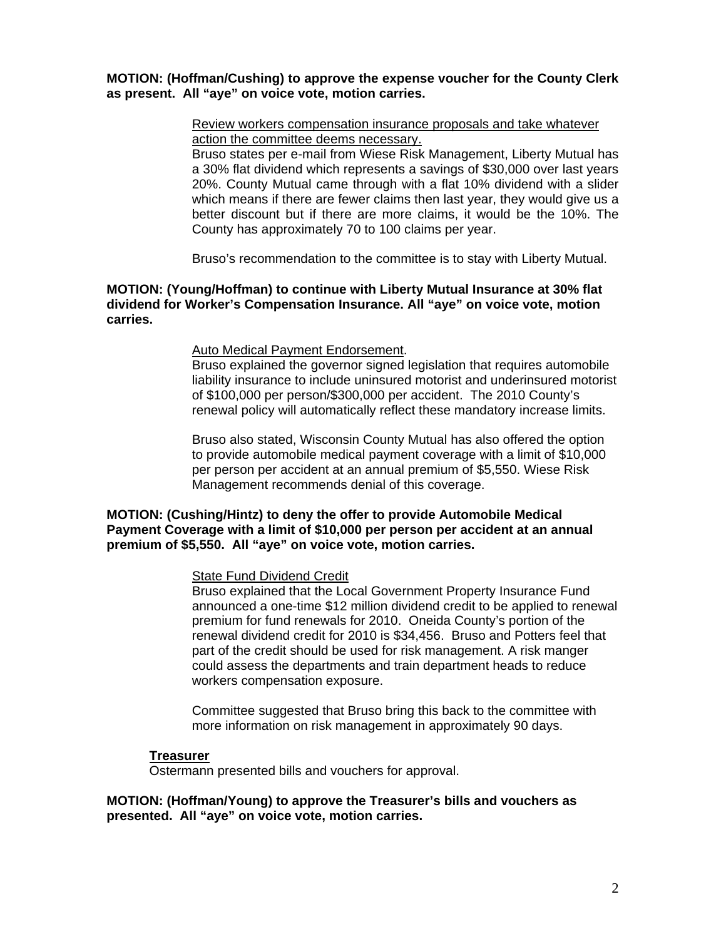#### **MOTION: (Hoffman/Cushing) to approve the expense voucher for the County Clerk as present. All "aye" on voice vote, motion carries.**

#### Review workers compensation insurance proposals and take whatever action the committee deems necessary.

Bruso states per e-mail from Wiese Risk Management, Liberty Mutual has a 30% flat dividend which represents a savings of \$30,000 over last years 20%. County Mutual came through with a flat 10% dividend with a slider which means if there are fewer claims then last year, they would give us a better discount but if there are more claims, it would be the 10%. The County has approximately 70 to 100 claims per year.

Bruso's recommendation to the committee is to stay with Liberty Mutual.

#### **MOTION: (Young/Hoffman) to continue with Liberty Mutual Insurance at 30% flat dividend for Worker's Compensation Insurance. All "aye" on voice vote, motion carries.**

#### Auto Medical Payment Endorsement.

Bruso explained the governor signed legislation that requires automobile liability insurance to include uninsured motorist and underinsured motorist of \$100,000 per person/\$300,000 per accident. The 2010 County's renewal policy will automatically reflect these mandatory increase limits.

Bruso also stated, Wisconsin County Mutual has also offered the option to provide automobile medical payment coverage with a limit of \$10,000 per person per accident at an annual premium of \$5,550. Wiese Risk Management recommends denial of this coverage.

#### **MOTION: (Cushing/Hintz) to deny the offer to provide Automobile Medical Payment Coverage with a limit of \$10,000 per person per accident at an annual premium of \$5,550. All "aye" on voice vote, motion carries.**

#### State Fund Dividend Credit

Bruso explained that the Local Government Property Insurance Fund announced a one-time \$12 million dividend credit to be applied to renewal premium for fund renewals for 2010. Oneida County's portion of the renewal dividend credit for 2010 is \$34,456. Bruso and Potters feel that part of the credit should be used for risk management. A risk manger could assess the departments and train department heads to reduce workers compensation exposure.

Committee suggested that Bruso bring this back to the committee with more information on risk management in approximately 90 days.

#### **Treasurer**

Ostermann presented bills and vouchers for approval.

**MOTION: (Hoffman/Young) to approve the Treasurer's bills and vouchers as presented. All "aye" on voice vote, motion carries.**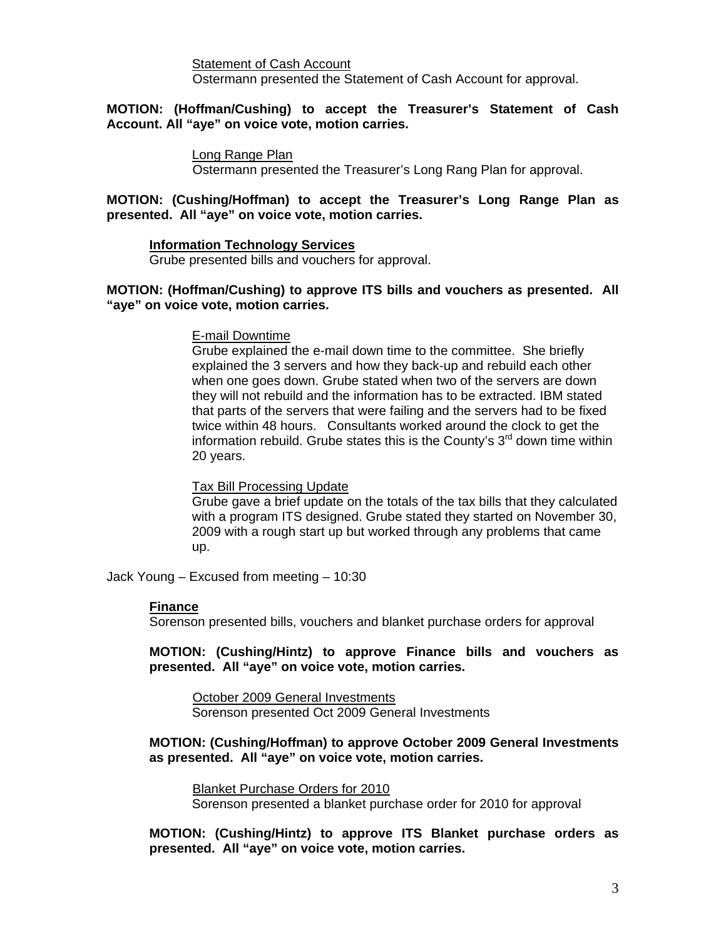Statement of Cash Account Ostermann presented the Statement of Cash Account for approval.

#### **MOTION: (Hoffman/Cushing) to accept the Treasurer's Statement of Cash Account. All "aye" on voice vote, motion carries.**

#### Long Range Plan

Ostermann presented the Treasurer's Long Rang Plan for approval.

#### **MOTION: (Cushing/Hoffman) to accept the Treasurer's Long Range Plan as presented. All "aye" on voice vote, motion carries.**

#### **Information Technology Services**

Grube presented bills and vouchers for approval.

#### **MOTION: (Hoffman/Cushing) to approve ITS bills and vouchers as presented. All "aye" on voice vote, motion carries.**

#### E-mail Downtime

Grube explained the e-mail down time to the committee. She briefly explained the 3 servers and how they back-up and rebuild each other when one goes down. Grube stated when two of the servers are down they will not rebuild and the information has to be extracted. IBM stated that parts of the servers that were failing and the servers had to be fixed twice within 48 hours. Consultants worked around the clock to get the information rebuild. Grube states this is the County's  $3<sup>rd</sup>$  down time within 20 years.

#### Tax Bill Processing Update

Grube gave a brief update on the totals of the tax bills that they calculated with a program ITS designed. Grube stated they started on November 30, 2009 with a rough start up but worked through any problems that came up.

Jack Young – Excused from meeting – 10:30

#### **Finance**

Sorenson presented bills, vouchers and blanket purchase orders for approval

**MOTION: (Cushing/Hintz) to approve Finance bills and vouchers as presented. All "aye" on voice vote, motion carries.** 

October 2009 General Investments Sorenson presented Oct 2009 General Investments

#### **MOTION: (Cushing/Hoffman) to approve October 2009 General Investments as presented. All "aye" on voice vote, motion carries.**

Blanket Purchase Orders for 2010 Sorenson presented a blanket purchase order for 2010 for approval

**MOTION: (Cushing/Hintz) to approve ITS Blanket purchase orders as presented. All "aye" on voice vote, motion carries.**